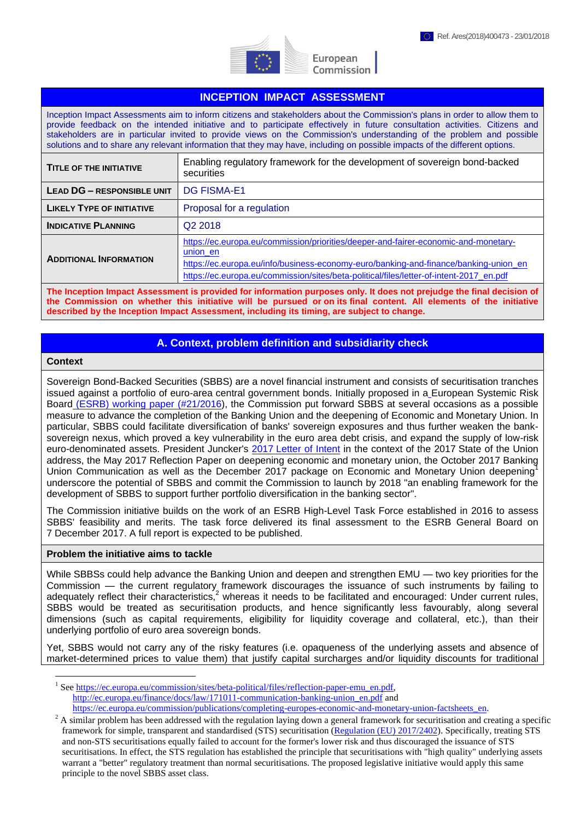

European Commission

## **INCEPTION IMPACT ASSESSMENT**

Inception Impact Assessments aim to inform citizens and stakeholders about the Commission's plans in order to allow them to provide feedback on the intended initiative and to participate effectively in future consultation activities. Citizens and stakeholders are in particular invited to provide views on the Commission's understanding of the problem and possible solutions and to share any relevant information that they may have, including on possible impacts of the different options.

| <b>TITLE OF THE INITIATIVE</b>    | Enabling regulatory framework for the development of sovereign bond-backed<br>securities                                                                                                                                                                                           |
|-----------------------------------|------------------------------------------------------------------------------------------------------------------------------------------------------------------------------------------------------------------------------------------------------------------------------------|
| <b>LEAD DG - RESPONSIBLE UNIT</b> | <b>DG FISMA-E1</b>                                                                                                                                                                                                                                                                 |
| <b>LIKELY TYPE OF INITIATIVE</b>  | Proposal for a regulation                                                                                                                                                                                                                                                          |
| <b>INDICATIVE PLANNING</b>        | Q <sub>2</sub> 2018                                                                                                                                                                                                                                                                |
| <b>ADDITIONAL INFORMATION</b>     | https://ec.europa.eu/commission/priorities/deeper-and-fairer-economic-and-monetary-<br>union en<br>https://ec.europa.eu/info/business-economy-euro/banking-and-finance/banking-union en<br>https://ec.europa.eu/commission/sites/beta-political/files/letter-of-intent-2017 en.pdf |
|                                   |                                                                                                                                                                                                                                                                                    |

**The Inception Impact Assessment is provided for information purposes only. It does not prejudge the final decision of the Commission on whether this initiative will be pursued or on its final content. All elements of the initiative described by the Inception Impact Assessment, including its timing, are subject to change.**

## **A. Context, problem definition and subsidiarity check**

#### **Context**

 $\overline{a}$ 

Sovereign Bond-Backed Securities (SBBS) are a novel financial instrument and consists of securitisation tranches issued against a portfolio of euro-area central government bonds. Initially proposed in a [European Systemic Risk](https://www.esrb.europa.eu/pub/pdf/wp/esrbwp21.en.pdf)  Board (ESRB) [working paper \(#21/2016\)](https://www.esrb.europa.eu/pub/pdf/wp/esrbwp21.en.pdf), the Commission put forward SBBS at several occasions as a possible measure to advance the completion of the Banking Union and the deepening of Economic and Monetary Union. In particular, SBBS could facilitate diversification of banks' sovereign exposures and thus further weaken the banksovereign nexus, which proved a key vulnerability in the euro area debt crisis, and expand the supply of low-risk euro-denominated assets. President Juncker's 2017 [Letter of Intent](https://www.google.be/url?sa=t&rct=j&q=&esrc=s&source=web&cd=2&cad=rja&uact=8&ved=0ahUKEwiMp_69p7PWAhXCBsAKHVaCBgYQFgguMAE&url=https%3A%2F%2Fec.europa.eu%2Fcommission%2Fsites%2Fbeta-political%2Ffiles%2Fletter-of-intent-2017_en.pdf&usg=AFQjCNGsyE-9DPYG3JKMC3TVaUwEg2204A) in the context of the 2017 State of the Union address, the May 2017 Reflection Paper on deepening economic and monetary union, the October 2017 Banking Union Communication as well as the December 2017 package on Economic and Monetary Union deepening<sup>1</sup> underscore the potential of SBBS and commit the Commission to launch by 2018 "an enabling framework for the development of SBBS to support further portfolio diversification in the banking sector".

The Commission initiative builds on the work of an ESRB High-Level Task Force established in 2016 to assess SBBS' feasibility and merits. The task force delivered its final assessment to the ESRB General Board on 7 December 2017. A full report is expected to be published.

#### **Problem the initiative aims to tackle**

While SBBSs could help advance the Banking Union and deepen and strengthen EMU — two key priorities for the Commission — the current regulatory framework discourages the issuance of such instruments by failing to adequately reflect their characteristics,<sup>2</sup> whereas it needs to be facilitated and encouraged: Under current rules, SBBS would be treated as securitisation products, and hence significantly less favourably, along several dimensions (such as capital requirements, eligibility for liquidity coverage and collateral, etc.), than their underlying portfolio of euro area sovereign bonds.

Yet, SBBS would not carry any of the risky features (i.e. opaqueness of the underlying assets and absence of market-determined prices to value them) that justify capital surcharges and/or liquidity discounts for traditional

<sup>&</sup>lt;sup>1</sup> See [https://ec.europa.eu/commission/sites/beta-political/files/reflection-paper-emu\\_en.pdf,](https://ec.europa.eu/commission/sites/beta-political/files/reflection-paper-emu_en.pdf) [http://ec.europa.eu/finance/docs/law/171011-communication-banking-union\\_en.pdf](http://ec.europa.eu/finance/docs/law/171011-communication-banking-union_en.pdf) and [https://ec.europa.eu/commission/publications/completing-europes-economic-and-monetary-union-factsheets\\_en.](https://ec.europa.eu/commission/publications/completing-europes-economic-and-monetary-union-factsheets_en)

 $2^2$  A similar problem has been addressed with the regulation laying down a general framework for securitisation and creating a specific framework for simple, transparent and standardised (STS) securitisation [\(Regulation \(EU\) 2017/2402\)](http://eur-lex.europa.eu/legal-content/EN/TXT/PDF/?uri=CELEX:32017R2402&qid=1516183788460&from=en). Specifically, treating STS and non-STS securitisations equally failed to account for the former's lower risk and thus discouraged the issuance of STS securitisations. In effect, the STS regulation has established the principle that securitisations with "high quality" underlying assets warrant a "better" regulatory treatment than normal securitisations. The proposed legislative initiative would apply this same principle to the novel SBBS asset class.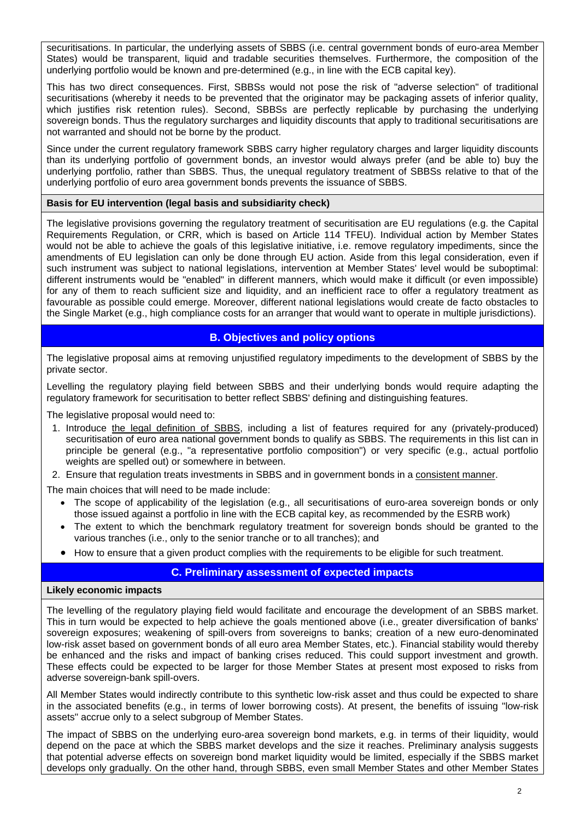securitisations. In particular, the underlying assets of SBBS (i.e. central government bonds of euro-area Member States) would be transparent, liquid and tradable securities themselves. Furthermore, the composition of the underlying portfolio would be known and pre-determined (e.g., in line with the ECB capital key).

This has two direct consequences. First, SBBSs would not pose the risk of "adverse selection" of traditional securitisations (whereby it needs to be prevented that the originator may be packaging assets of inferior quality, which justifies risk retention rules). Second, SBBSs are perfectly replicable by purchasing the underlying sovereign bonds. Thus the regulatory surcharges and liquidity discounts that apply to traditional securitisations are not warranted and should not be borne by the product.

Since under the current regulatory framework SBBS carry higher regulatory charges and larger liquidity discounts than its underlying portfolio of government bonds, an investor would always prefer (and be able to) buy the underlying portfolio, rather than SBBS. Thus, the unequal regulatory treatment of SBBSs relative to that of the underlying portfolio of euro area government bonds prevents the issuance of SBBS.

## **Basis for EU intervention (legal basis and subsidiarity check)**

The legislative provisions governing the regulatory treatment of securitisation are EU regulations (e.g. the Capital Requirements Regulation, or CRR, which is based on Article 114 TFEU). Individual action by Member States would not be able to achieve the goals of this legislative initiative, i.e. remove regulatory impediments, since the amendments of EU legislation can only be done through EU action. Aside from this legal consideration, even if such instrument was subject to national legislations, intervention at Member States' level would be suboptimal: different instruments would be "enabled" in different manners, which would make it difficult (or even impossible) for any of them to reach sufficient size and liquidity, and an inefficient race to offer a regulatory treatment as favourable as possible could emerge. Moreover, different national legislations would create de facto obstacles to the Single Market (e.g., high compliance costs for an arranger that would want to operate in multiple jurisdictions).

## **B. Objectives and policy options**

The legislative proposal aims at removing unjustified regulatory impediments to the development of SBBS by the private sector.

Levelling the regulatory playing field between SBBS and their underlying bonds would require adapting the regulatory framework for securitisation to better reflect SBBS' defining and distinguishing features.

The legislative proposal would need to:

- 1. Introduce the legal definition of SBBS, including a list of features required for any (privately-produced) securitisation of euro area national government bonds to qualify as SBBS. The requirements in this list can in principle be general (e.g., "a representative portfolio composition") or very specific (e.g., actual portfolio weights are spelled out) or somewhere in between.
- 2. Ensure that regulation treats investments in SBBS and in government bonds in a consistent manner.

The main choices that will need to be made include:

- The scope of applicability of the legislation (e.g., all securitisations of euro-area sovereign bonds or only those issued against a portfolio in line with the ECB capital key, as recommended by the ESRB work)
- The extent to which the benchmark regulatory treatment for sovereign bonds should be granted to the various tranches (i.e., only to the senior tranche or to all tranches); and
- How to ensure that a given product complies with the requirements to be eligible for such treatment.

# **C. Preliminary assessment of expected impacts**

### **Likely economic impacts**

The levelling of the regulatory playing field would facilitate and encourage the development of an SBBS market. This in turn would be expected to help achieve the goals mentioned above (i.e., greater diversification of banks' sovereign exposures; weakening of spill-overs from sovereigns to banks; creation of a new euro-denominated low-risk asset based on government bonds of all euro area Member States, etc.). Financial stability would thereby be enhanced and the risks and impact of banking crises reduced. This could support investment and growth. These effects could be expected to be larger for those Member States at present most exposed to risks from adverse sovereign-bank spill-overs.

All Member States would indirectly contribute to this synthetic low-risk asset and thus could be expected to share in the associated benefits (e.g., in terms of lower borrowing costs). At present, the benefits of issuing "low-risk assets" accrue only to a select subgroup of Member States.

The impact of SBBS on the underlying euro-area sovereign bond markets, e.g. in terms of their liquidity, would depend on the pace at which the SBBS market develops and the size it reaches. Preliminary analysis suggests that potential adverse effects on sovereign bond market liquidity would be limited, especially if the SBBS market develops only gradually. On the other hand, through SBBS, even small Member States and other Member States